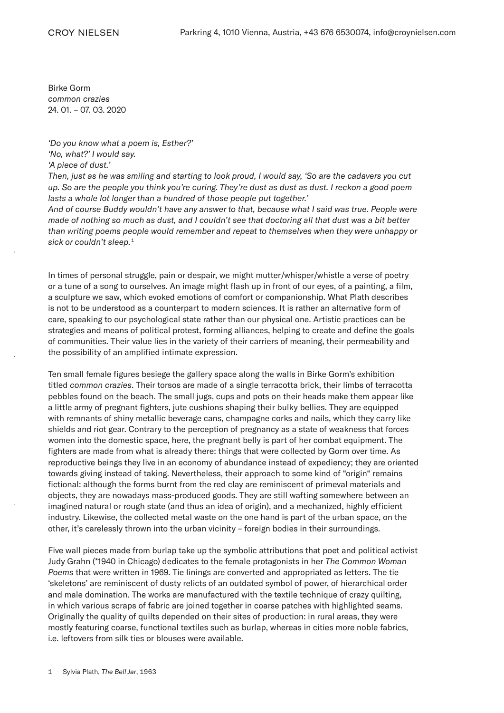Birke Gorm *common crazies* 24. 01. – 07. 03. 2020

## *'Do you know what a poem is, Esther?' 'No, what?' I would say.*

*'A piece of dust.'*

*Then, just as he was smiling and starting to look proud, I would say, 'So are the cadavers you cut up. So are the people you think you're curing. They're dust as dust as dust. I reckon a good poem lasts a whole lot longer than a hundred of those people put together.'*

*And of course Buddy wouldn't have any answer to that, because what I said was true. People were made of nothing so much as dust, and I couldn't see that doctoring all that dust was a bit better than writing poems people would remember and repeat to themselves when they were unhappy or sick or couldn't sleep.*<sup>1</sup>

In times of personal struggle, pain or despair, we might mutter/whisper/whistle a verse of poetry or a tune of a song to ourselves. An image might flash up in front of our eyes, of a painting, a film, a sculpture we saw, which evoked emotions of comfort or companionship. What Plath describes is not to be understood as a counterpart to modern sciences. It is rather an alternative form of care, speaking to our psychological state rather than our physical one. Artistic practices can be strategies and means of political protest, forming alliances, helping to create and define the goals of communities. Their value lies in the variety of their carriers of meaning, their permeability and the possibility of an amplified intimate expression.

Ten small female figures besiege the gallery space along the walls in Birke Gorm's exhibition titled *common crazies*. Their torsos are made of a single terracotta brick, their limbs of terracotta pebbles found on the beach. The small jugs, cups and pots on their heads make them appear like a little army of pregnant fighters, jute cushions shaping their bulky bellies. They are equipped with remnants of shiny metallic beverage cans, champagne corks and nails, which they carry like shields and riot gear. Contrary to the perception of pregnancy as a state of weakness that forces women into the domestic space, here, the pregnant belly is part of her combat equipment. The fighters are made from what is already there: things that were collected by Gorm over time. As reproductive beings they live in an economy of abundance instead of expediency; they are oriented towards giving instead of taking. Nevertheless, their approach to some kind of "origin" remains fictional: although the forms burnt from the red clay are reminiscent of primeval materials and objects, they are nowadays mass-produced goods. They are still wafting somewhere between an imagined natural or rough state (and thus an idea of origin), and a mechanized, highly efficient industry. Likewise, the collected metal waste on the one hand is part of the urban space, on the other, it's carelessly thrown into the urban vicinity – foreign bodies in their surroundings.

Five wall pieces made from burlap take up the symbolic attributions that poet and political activist Judy Grahn (\*1940 in Chicago) dedicates to the female protagonists in her *The Common Woman Poems* that were written in 1969. Tie linings are converted and appropriated as letters. The tie 'skeletons' are reminiscent of dusty relicts of an outdated symbol of power, of hierarchical order and male domination. The works are manufactured with the textile technique of crazy quilting, in which various scraps of fabric are joined together in coarse patches with highlighted seams. Originally the quality of quilts depended on their sites of production: in rural areas, they were mostly featuring coarse, functional textiles such as burlap, whereas in cities more noble fabrics, i.e. leftovers from silk ties or blouses were available.